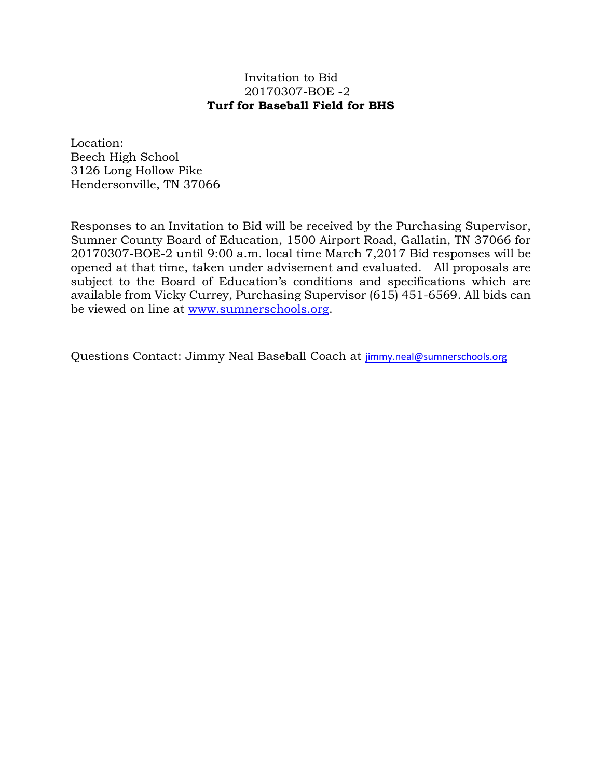## Invitation to Bid 20170307-BOE -2 **Turf for Baseball Field for BHS**

Location: Beech High School 3126 Long Hollow Pike Hendersonville, TN 37066

Responses to an Invitation to Bid will be received by the Purchasing Supervisor, Sumner County Board of Education, 1500 Airport Road, Gallatin, TN 37066 for 20170307-BOE-2 until 9:00 a.m. local time March 7,2017 Bid responses will be opened at that time, taken under advisement and evaluated. All proposals are subject to the Board of Education's conditions and specifications which are available from Vicky Currey, Purchasing Supervisor (615) 451-6569. All bids can be viewed on line at [www.sumnerschools.org.](http://www.sumnerschools.org/)

Questions Contact: Jimmy Neal Baseball Coach at [jimmy.neal@sumnerschools.org](mailto:jimmy.neal@sumnerschools.org)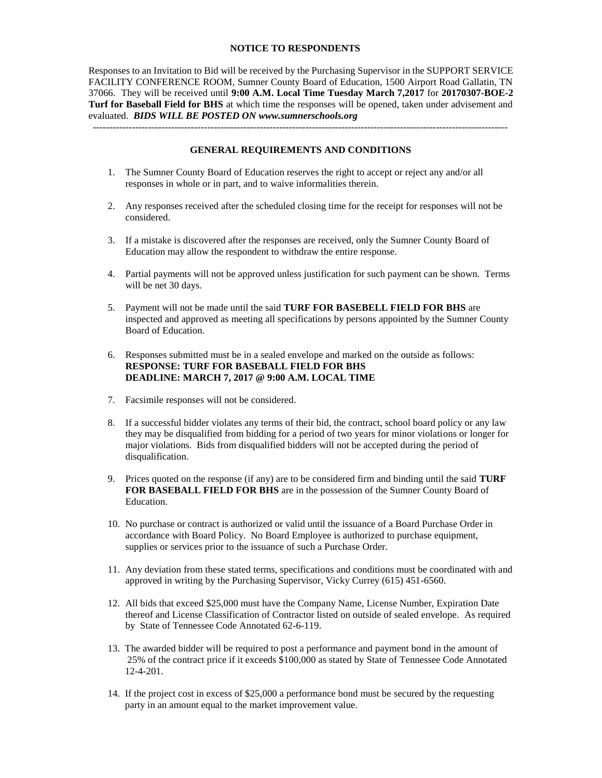#### **NOTICE TO RESPONDENTS**

Responses to an Invitation to Bid will be received by the Purchasing Supervisor in the SUPPORT SERVICE FACILITY CONFERENCE ROOM, Sumner County Board of Education, 1500 Airport Road Gallatin, TN 37066. They will be received until **9:00 A.M. Local Time Tuesday March 7,2017** for **20170307-BOE-2 Turf for Baseball Field for BHS** at which time the responses will be opened, taken under advisement and evaluated. *BIDS WILL BE POSTED ON www.sumnerschools.org*

**GENERAL REQUIREMENTS AND CONDITIONS**

-------------------------------------------------------------------------------------------------------------------------------

- 1. The Sumner County Board of Education reserves the right to accept or reject any and/or all responses in whole or in part, and to waive informalities therein.
- 2. Any responses received after the scheduled closing time for the receipt for responses will not be considered.
- 3. If a mistake is discovered after the responses are received, only the Sumner County Board of Education may allow the respondent to withdraw the entire response.
- 4. Partial payments will not be approved unless justification for such payment can be shown. Terms will be net 30 days.
- 5. Payment will not be made until the said **TURF FOR BASEBELL FIELD FOR BHS** are inspected and approved as meeting all specifications by persons appointed by the Sumner County Board of Education.
- 6. Responses submitted must be in a sealed envelope and marked on the outside as follows: **RESPONSE: TURF FOR BASEBALL FIELD FOR BHS DEADLINE: MARCH 7, 2017 @ 9:00 A.M. LOCAL TIME**
- 7. Facsimile responses will not be considered.
- 8. If a successful bidder violates any terms of their bid, the contract, school board policy or any law they may be disqualified from bidding for a period of two years for minor violations or longer for major violations. Bids from disqualified bidders will not be accepted during the period of disqualification.
- 9. Prices quoted on the response (if any) are to be considered firm and binding until the said **TURF FOR BASEBALL FIELD FOR BHS** are in the possession of the Sumner County Board of Education.
- 10. No purchase or contract is authorized or valid until the issuance of a Board Purchase Order in accordance with Board Policy. No Board Employee is authorized to purchase equipment, supplies or services prior to the issuance of such a Purchase Order.
- 11. Any deviation from these stated terms, specifications and conditions must be coordinated with and approved in writing by the Purchasing Supervisor, Vicky Currey (615) 451-6560.
- 12. All bids that exceed \$25,000 must have the Company Name, License Number, Expiration Date thereof and License Classification of Contractor listed on outside of sealed envelope. As required by State of Tennessee Code Annotated 62-6-119.
- 13. The awarded bidder will be required to post a performance and payment bond in the amount of 25% of the contract price if it exceeds \$100,000 as stated by State of Tennessee Code Annotated 12-4-201.
- 14. If the project cost in excess of \$25,000 a performance bond must be secured by the requesting party in an amount equal to the market improvement value.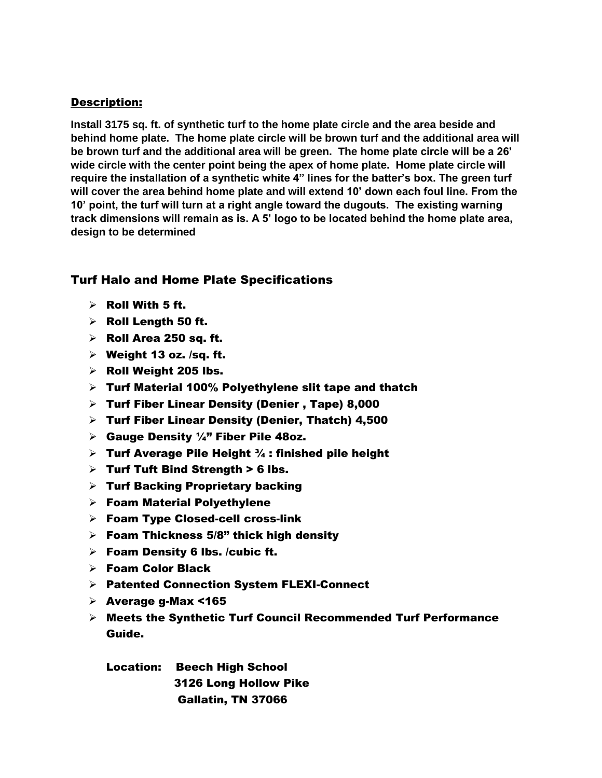## Description:

**Install 3175 sq. ft. of synthetic turf to the home plate circle and the area beside and behind home plate. The home plate circle will be brown turf and the additional area will be brown turf and the additional area will be green. The home plate circle will be a 26' wide circle with the center point being the apex of home plate. Home plate circle will require the installation of a synthetic white 4" lines for the batter's box. The green turf will cover the area behind home plate and will extend 10' down each foul line. From the 10' point, the turf will turn at a right angle toward the dugouts. The existing warning track dimensions will remain as is. A 5' logo to be located behind the home plate area, design to be determined**

# Turf Halo and Home Plate Specifications

- $\triangleright$  Roll With 5 ft.
- $\triangleright$  Roll Length 50 ft.
- $\triangleright$  Roll Area 250 sq. ft.
- $\triangleright$  Weight 13 oz. /sq. ft.
- $\triangleright$  Roll Weight 205 lbs.
- $\triangleright$  Turf Material 100% Polyethylene slit tape and thatch
- Turf Fiber Linear Density (Denier , Tape) 8,000
- $\triangleright$  Turf Fiber Linear Density (Denier, Thatch) 4,500
- $\triangleright$  Gauge Density 1/4" Fiber Pile 48oz.
- **Furf Average Pile Height**  $\frac{3}{4}$ : finished pile height
- $\triangleright$  Turf Tuft Bind Strength > 6 lbs.
- $\triangleright$  Turf Backing Proprietary backing
- Foam Material Polyethylene
- $\triangleright$  Foam Type Closed-cell cross-link
- $\triangleright$  Foam Thickness 5/8" thick high density
- $\triangleright$  Foam Density 6 lbs. /cubic ft.
- Foam Color Black
- Patented Connection System FLEXI-Connect
- $\triangleright$  Average g-Max <165
- $\triangleright$  Meets the Synthetic Turf Council Recommended Turf Performance Guide.

Location: Beech High School 3126 Long Hollow Pike Gallatin, TN 37066